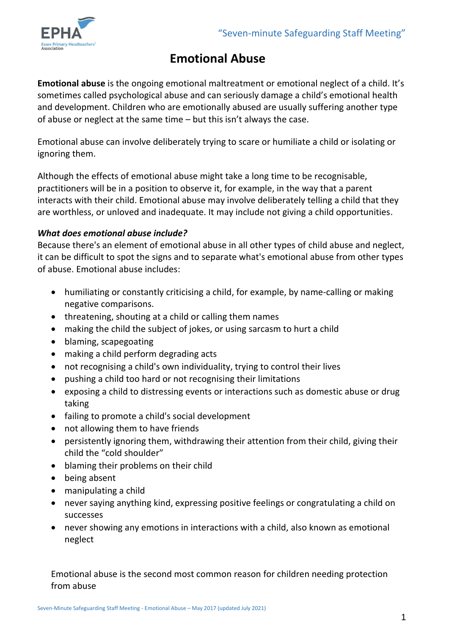

# **Emotional Abuse**

**Emotional abuse** is the ongoing emotional maltreatment or emotional neglect of a child. It's sometimes called psychological abuse and can seriously damage a child's emotional health and development. Children who are emotionally abused are usually suffering another type of abuse or neglect at the same time – but this isn't always the case.

Emotional abuse can involve deliberately trying to scare or humiliate a child or isolating or ignoring them.

Although the effects of emotional abuse might take a long time to be recognisable, practitioners will be in a position to observe it, for example, in the way that a parent interacts with their child. Emotional abuse may involve deliberately telling a child that they are worthless, or unloved and inadequate. It may include not giving a child opportunities.

## *What does emotional abuse include?*

Because there's an element of emotional abuse in all other types of child abuse and neglect, it can be difficult to spot the signs and to separate what's emotional abuse from other types of abuse. Emotional abuse includes:

- humiliating or constantly criticising a child, for example, by name-calling or making negative comparisons.
- threatening, shouting at a child or calling them names
- making the child the subject of jokes, or using sarcasm to hurt a child
- blaming, scapegoating
- making a child perform degrading acts
- not recognising a child's own individuality, trying to control their lives
- pushing a child too hard or not recognising their limitations
- exposing a child to distressing events or interactions such as domestic abuse or drug taking
- failing to promote a child's social development
- not allowing them to have friends
- persistently ignoring them, withdrawing their attention from their child, giving their child the "cold shoulder"
- blaming their problems on their child
- being absent
- manipulating a child
- never saying anything kind, expressing positive feelings or congratulating a child on successes
- never showing any emotions in interactions with a child, also known as emotional neglect

Emotional abuse is the second most common reason for children needing protection from abuse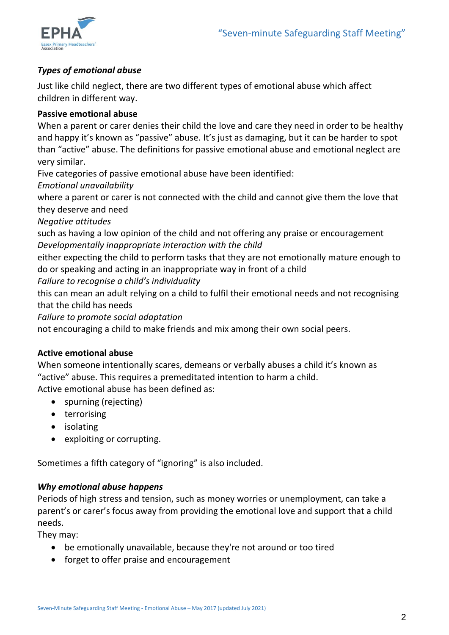

# *Types of emotional abuse*

Just like child neglect, there are two different types of emotional abuse which affect children in different way.

## **Passive emotional abuse**

When a parent or carer denies their child the love and care they need in order to be healthy and happy it's known as "passive" abuse. It's just as damaging, but it can be harder to spot than "active" abuse. The definitions for passive emotional abuse and emotional neglect are very similar.

Five categories of passive emotional abuse have been identified:

*Emotional unavailability*

where a parent or carer is not connected with the child and cannot give them the love that they deserve and need

*Negative attitudes*

such as having a low opinion of the child and not offering any praise or encouragement *Developmentally inappropriate interaction with the child*

either expecting the child to perform tasks that they are not emotionally mature enough to do or speaking and acting in an inappropriate way in front of a child

*Failure to recognise a child's individuality*

this can mean an adult relying on a child to fulfil their emotional needs and not recognising that the child has needs

*Failure to promote social adaptation*

not encouraging a child to make friends and mix among their own social peers.

## **Active emotional abuse**

When someone intentionally scares, demeans or verbally abuses a child it's known as "active" abuse. This requires a premeditated intention to harm a child. Active emotional abuse has been defined as:

- spurning (rejecting)
- terrorising
- isolating
- exploiting or corrupting.

Sometimes a fifth category of "ignoring" is also included.

#### *Why emotional abuse happens*

Periods of high stress and tension, such as money worries or unemployment, can take a parent's or carer's focus away from providing the emotional love and support that a child needs.

They may:

- be emotionally unavailable, because they're not around or too tired
- forget to offer praise and encouragement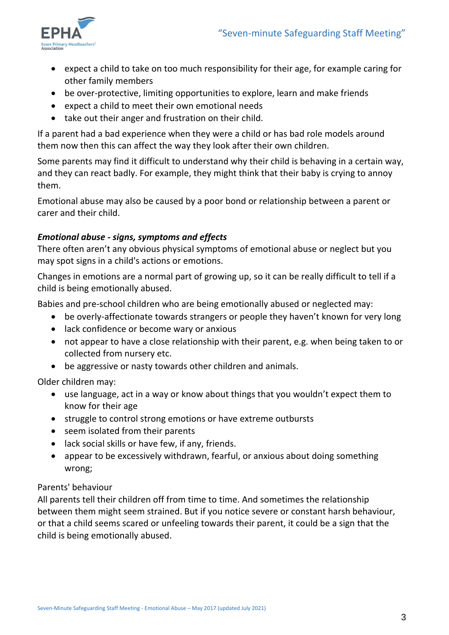

- expect a child to take on too much responsibility for their age, for example caring for other family members
- be over-protective, limiting opportunities to explore, learn and make friends
- expect a child to meet their own emotional needs
- take out their anger and frustration on their child.

If a parent had a bad experience when they were a child or has bad role models around them now then this can affect the way they look after their own children.

Some parents may find it difficult to understand why their child is behaving in a certain way, and they can react badly. For example, they might think that their baby is crying to annoy them.

Emotional abuse may also be caused by a poor bond or relationship between a parent or carer and their child.

## *Emotional abuse - signs, symptoms and effects*

There often aren't any obvious physical symptoms of emotional abuse or neglect but you may spot signs in a child's actions or emotions.

Changes in emotions are a normal part of growing up, so it can be really difficult to tell if a child is being emotionally abused.

Babies and pre-school children who are being emotionally abused or neglected may:

- be overly-affectionate towards strangers or people they haven't known for very long
- lack confidence or become wary or anxious
- not appear to have a close relationship with their parent, e.g. when being taken to or collected from nursery etc.
- be aggressive or nasty towards other children and animals.

Older children may:

- use language, act in a way or know about things that you wouldn't expect them to know for their age
- struggle to control strong emotions or have extreme outbursts
- seem isolated from their parents
- lack social skills or have few, if any, friends.
- appear to be excessively withdrawn, fearful, or anxious about doing something wrong;

## Parents' behaviour

All parents tell their children off from time to time. And sometimes the relationship between them might seem strained. But if you notice severe or constant harsh behaviour, or that a child seems scared or unfeeling towards their parent, it could be a sign that the child is being emotionally abused.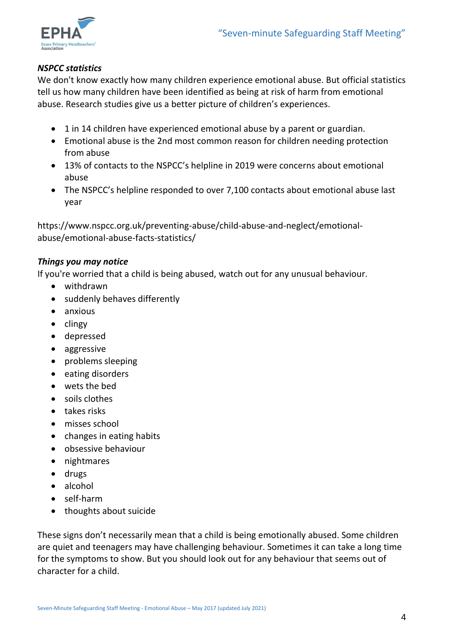

## *NSPCC statistics*

We don't know exactly how many children experience emotional abuse. But official statistics tell us how many children have been identified as being at risk of harm from emotional abuse. Research studies give us a better picture of children's experiences.

- 1 in 14 children have experienced emotional abuse by a parent or guardian.
- Emotional abuse is the 2nd most common reason for children needing protection from abuse
- 13% of contacts to the NSPCC's helpline in 2019 were concerns about emotional abuse
- The NSPCC's helpline responded to over 7,100 contacts about emotional abuse last year

https://www.nspcc.org.uk/preventing-abuse/child-abuse-and-neglect/emotionalabuse/emotional-abuse-facts-statistics/

#### *Things you may notice*

If you're worried that a child is being abused, watch out for any unusual behaviour.

- withdrawn
- suddenly behaves differently
- anxious
- $\bullet$  clingy
- depressed
- aggressive
- problems sleeping
- eating disorders
- wets the bed
- soils clothes
- takes risks
- misses school
- changes in eating habits
- obsessive behaviour
- nightmares
- drugs
- alcohol
- self-harm
- thoughts about suicide

These signs don't necessarily mean that a child is being emotionally abused. Some children are quiet and teenagers may have challenging behaviour. Sometimes it can take a long time for the symptoms to show. But you should look out for any behaviour that seems out of character for a child.